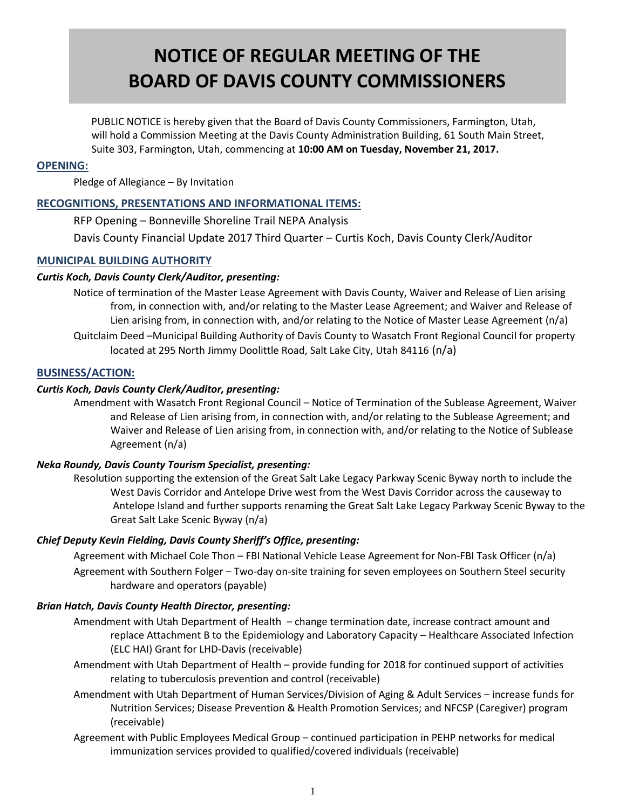# **NOTICE OF REGULAR MEETING OF THE BOARD OF DAVIS COUNTY COMMISSIONERS**

 PUBLIC NOTICE is hereby given that the Board of Davis County Commissioners, Farmington, Utah, will hold a Commission Meeting at the Davis County Administration Building, 61 South Main Street, Suite 303, Farmington, Utah, commencing at **10:00 AM on Tuesday, November 21, 2017.**

#### **OPENING:**

Pledge of Allegiance – By Invitation

# **RECOGNITIONS, PRESENTATIONS AND INFORMATIONAL ITEMS:**

RFP Opening – Bonneville Shoreline Trail NEPA Analysis

Davis County Financial Update 2017 Third Quarter – Curtis Koch, Davis County Clerk/Auditor

# **MUNICIPAL BUILDING AUTHORITY**

## *Curtis Koch, Davis County Clerk/Auditor, presenting:*

Notice of termination of the Master Lease Agreement with Davis County, Waiver and Release of Lien arising from, in connection with, and/or relating to the Master Lease Agreement; and Waiver and Release of Lien arising from, in connection with, and/or relating to the Notice of Master Lease Agreement (n/a) Quitclaim Deed –Municipal Building Authority of Davis County to Wasatch Front Regional Council for property located at 295 North Jimmy Doolittle Road, Salt Lake City, Utah 84116 (n/a)

## **BUSINESS/ACTION:**

# *Curtis Koch, Davis County Clerk/Auditor, presenting:*

Amendment with Wasatch Front Regional Council – Notice of Termination of the Sublease Agreement, Waiver and Release of Lien arising from, in connection with, and/or relating to the Sublease Agreement; and Waiver and Release of Lien arising from, in connection with, and/or relating to the Notice of Sublease Agreement (n/a)

## *Neka Roundy, Davis County Tourism Specialist, presenting:*

Resolution supporting the extension of the Great Salt Lake Legacy Parkway Scenic Byway north to include the West Davis Corridor and Antelope Drive west from the West Davis Corridor across the causeway to Antelope Island and further supports renaming the Great Salt Lake Legacy Parkway Scenic Byway to the Great Salt Lake Scenic Byway (n/a)

## *Chief Deputy Kevin Fielding, Davis County Sheriff's Office, presenting:*

Agreement with Michael Cole Thon – FBI National Vehicle Lease Agreement for Non-FBI Task Officer (n/a)

Agreement with Southern Folger – Two-day on-site training for seven employees on Southern Steel security hardware and operators (payable)

## *Brian Hatch, Davis County Health Director, presenting:*

- Amendment with Utah Department of Health change termination date, increase contract amount and replace Attachment B to the Epidemiology and Laboratory Capacity – Healthcare Associated Infection (ELC HAI) Grant for LHD-Davis (receivable)
- Amendment with Utah Department of Health provide funding for 2018 for continued support of activities relating to tuberculosis prevention and control (receivable)
- Amendment with Utah Department of Human Services/Division of Aging & Adult Services increase funds for Nutrition Services; Disease Prevention & Health Promotion Services; and NFCSP (Caregiver) program (receivable)
- Agreement with Public Employees Medical Group continued participation in PEHP networks for medical immunization services provided to qualified/covered individuals (receivable)